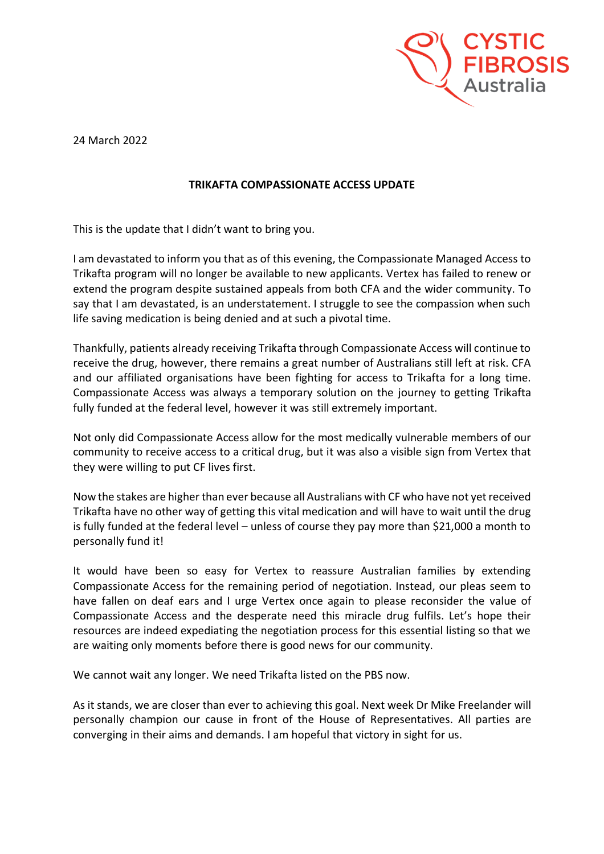

24 March 2022

## **TRIKAFTA COMPASSIONATE ACCESS UPDATE**

This is the update that I didn't want to bring you.

I am devastated to inform you that as of this evening, the Compassionate Managed Access to Trikafta program will no longer be available to new applicants. Vertex has failed to renew or extend the program despite sustained appeals from both CFA and the wider community. To say that I am devastated, is an understatement. I struggle to see the compassion when such life saving medication is being denied and at such a pivotal time.

Thankfully, patients already receiving Trikafta through Compassionate Access will continue to receive the drug, however, there remains a great number of Australians still left at risk. CFA and our affiliated organisations have been fighting for access to Trikafta for a long time. Compassionate Access was always a temporary solution on the journey to getting Trikafta fully funded at the federal level, however it was still extremely important.

Not only did Compassionate Access allow for the most medically vulnerable members of our community to receive access to a critical drug, but it was also a visible sign from Vertex that they were willing to put CF lives first.

Now the stakes are higher than ever because all Australians with CF who have not yet received Trikafta have no other way of getting this vital medication and will have to wait until the drug is fully funded at the federal level – unless of course they pay more than \$21,000 a month to personally fund it!

It would have been so easy for Vertex to reassure Australian families by extending Compassionate Access for the remaining period of negotiation. Instead, our pleas seem to have fallen on deaf ears and I urge Vertex once again to please reconsider the value of Compassionate Access and the desperate need this miracle drug fulfils. Let's hope their resources are indeed expediating the negotiation process for this essential listing so that we are waiting only moments before there is good news for our community.

We cannot wait any longer. We need Trikafta listed on the PBS now.

As it stands, we are closer than ever to achieving this goal. Next week Dr Mike Freelander will personally champion our cause in front of the House of Representatives. All parties are converging in their aims and demands. I am hopeful that victory in sight for us.